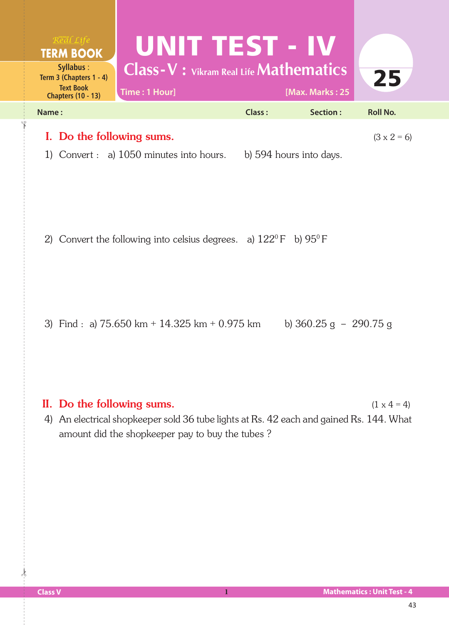| <u>Real Life</u><br><b>TERM BOOK</b><br><b>Syllabus:</b><br>Term 3 (Chapters 1 - 4)<br><b>Text Book</b><br><b>Chapters (10 - 13)</b> | UNIT TEST - IV<br><b>Class-V</b> : Vikram Real Life <b>Mathematics</b><br>Time: 1 Hour] |               | [Max. Marks: 25           | 25                 |
|--------------------------------------------------------------------------------------------------------------------------------------|-----------------------------------------------------------------------------------------|---------------|---------------------------|--------------------|
| Name:                                                                                                                                |                                                                                         | <b>Class:</b> | Section:                  | <b>Roll No.</b>    |
| I. Do the following sums.<br>1)                                                                                                      | Convert $: a)$ 1050 minutes into hours.                                                 |               | b) 594 hours into days.   | $(3 \times 2 = 6)$ |
|                                                                                                                                      | 2) Convert the following into celsius degrees. a) $122^{\circ}F$ b) $95^{\circ}F$       |               |                           |                    |
|                                                                                                                                      | 3) Find : a) $75.650 \text{ km} + 14.325 \text{ km} + 0.975 \text{ km}$                 |               | b) $360.25$ g $-290.75$ g |                    |

## II. Do the following sums.  $(1 \times 4 = 4)$

4) An electrical shopkeeper sold 36 tube lights at Rs. 42 each and gained Rs. 144. What amount did the shopkeeper pay to buy the tubes ?

 $\frac{1}{2}$ 

✁